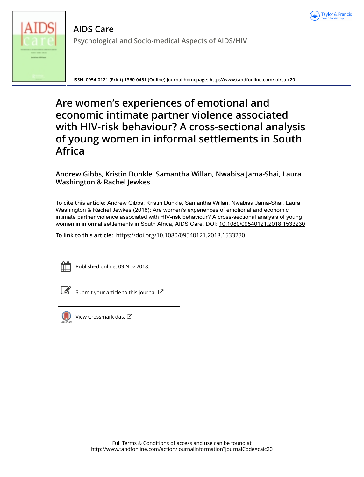



**AIDS Care Psychological and Socio-medical Aspects of AIDS/HIV**

**ISSN: 0954-0121 (Print) 1360-0451 (Online) Journal homepage:<http://www.tandfonline.com/loi/caic20>**

# **Are women's experiences of emotional and economic intimate partner violence associated with HIV-risk behaviour? A cross-sectional analysis of young women in informal settlements in South Africa**

## **Andrew Gibbs, Kristin Dunkle, Samantha Willan, Nwabisa Jama-Shai, Laura Washington & Rachel Jewkes**

**To cite this article:** Andrew Gibbs, Kristin Dunkle, Samantha Willan, Nwabisa Jama-Shai, Laura Washington & Rachel Jewkes (2018): Are women's experiences of emotional and economic intimate partner violence associated with HIV-risk behaviour? A cross-sectional analysis of young women in informal settlements in South Africa, AIDS Care, DOI: [10.1080/09540121.2018.1533230](http://www.tandfonline.com/action/showCitFormats?doi=10.1080/09540121.2018.1533230)

**To link to this article:** <https://doi.org/10.1080/09540121.2018.1533230>



Published online: 09 Nov 2018.



[Submit your article to this journal](http://www.tandfonline.com/action/authorSubmission?journalCode=caic20&show=instructions)  $\mathbb{Z}$ 



[View Crossmark data](http://crossmark.crossref.org/dialog/?doi=10.1080/09540121.2018.1533230&domain=pdf&date_stamp=2018-11-09) $\bm{\mathcal{C}}$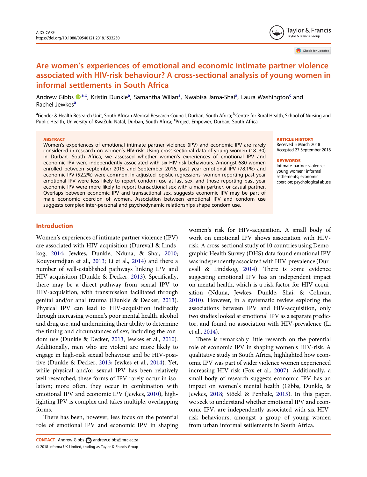

Check for updates

# <span id="page-1-0"></span>Are women's experiences of emotional and economic intimate partner violence associated with HIV-risk behaviour? A cross-sectional analysis of young women in informal settlements in South Africa

Andrew Gibbs  $\mathbf{D}^{a,b}$ , Kristin Dunkle<sup>a</sup>, Samantha Willan<sup>a</sup>, Nwabisa Jama-Shai<sup>a</sup>, Laura Washington<sup>c</sup> and Rachel Jewkes<sup>a</sup>

<sup>a</sup>Gender & Health Research Unit, South African Medical Research Council, Durban, South Africa; <sup>b</sup>Centre for Rural Health, School of Nursing and Public Health, University of KwaZulu-Natal, Durban, South Africa; <sup>c</sup>Project Empower, Durban, South Africa

### ABSTRACT

Women's experiences of emotional intimate partner violence (IPV) and economic IPV are rarely considered in research on women's HIV-risk. Using cross-sectional data of young women (18–30) in Durban, South Africa, we assessed whether women's experiences of emotional IPV and economic IPV were independently associated with six HIV-risk behaviours. Amongst 680 women enrolled between September 2015 and September 2016, past year emotional IPV (78.1%) and economic IPV (52.2%) were common. In adjusted logistic regressions, women reporting past year emotional IPV were less likely to report condom use at last sex, and those reporting past year economic IPV were more likely to report transactional sex with a main partner, or casual partner. Overlaps between economic IPV and transactional sex, suggests economic IPV may be part of male economic coercion of women. Association between emotional IPV and condom use suggests complex inter-personal and psychodynamic relationships shape condom use.

ARTICLE HISTORY

Received 5 March 2018 Accepted 27 September 2018

**KEYWORDS** Intimate partner violence; young women; informal settlements; economic coercion; psychological abuse

## Introduction

Women's experiences of intimate partner violence (IPV) are associated with HIV-acquisition (Durevall & Lindskog, [2014;](#page-7-0) Jewkes, Dunkle, Nduna, & Shai, [2010](#page-7-0); Kouyoumdjian et al., [2013;](#page-7-0) Li et al., [2014](#page-7-0)) and there a number of well-established pathways linking IPV and HIV-acquisition (Dunkle & Decker, [2013](#page-6-0)). Specifically, there may be a direct pathway from sexual IPV to HIV-acquisition, with transmission facilitated through genital and/or anal trauma (Dunkle & Decker, [2013\)](#page-6-0). Physical IPV can lead to HIV-acquisition indirectly through increasing women's poor mental health, alcohol and drug use, and undermining their ability to determine the timing and circumstances of sex, including the condom use (Dunkle & Decker, [2013](#page-6-0); Jewkes et al., [2010\)](#page-7-0). Additionally, men who are violent are more likely to engage in high-risk sexual behaviour and be HIV-positive (Dunkle & Decker, [2013](#page-6-0); Jewkes et al., [2014\)](#page-7-0). Yet, while physical and/or sexual IPV has been relatively well researched, these forms of IPV rarely occur in isolation; more often, they occur in combination with emotional IPV and economic IPV (Jewkes, [2010](#page-7-0)), highlighting IPV is complex and takes multiple, overlapping forms.

There has been, however, less focus on the potential role of emotional IPV and economic IPV in shaping women's risk for HIV-acquisition. A small body of work on emotional IPV shows association with HIVrisk. A cross-sectional study of 10 countries using Demographic Health Survey (DHS) data found emotional IPV was independently associated with HIV-prevalence (Durevall & Lindskog, [2014\)](#page-7-0). There is some evidence suggesting emotional IPV has an independent impact on mental health, which is a risk factor for HIV-acquisition (Nduna, Jewkes, Dunkle, Shai, & Colman, [2010\)](#page-7-0). However, in a systematic review exploring the associations between IPV and HIV-acquisition, only two studies looked at emotional IPV as a separate predictor, and found no association with HIV-prevalence (Li et al., [2014](#page-7-0)).

There is remarkably little research on the potential role of economic IPV in shaping women's HIV-risk. A qualitative study in South Africa, highlighted how economic IPV was part of wider violence women experienced increasing HIV-risk (Fox et al., [2007](#page-7-0)). Additionally, a small body of research suggests economic IPV has an impact on women's mental health (Gibbs, Dunkle, & Jewkes, [2018;](#page-7-0) Stöckl & Penhale, [2015\)](#page-7-0). In this paper, we seek to understand whether emotional IPV and economic IPV, are independently associated with six HIVrisk behaviours, amongst a group of young women from urban informal settlements in South Africa.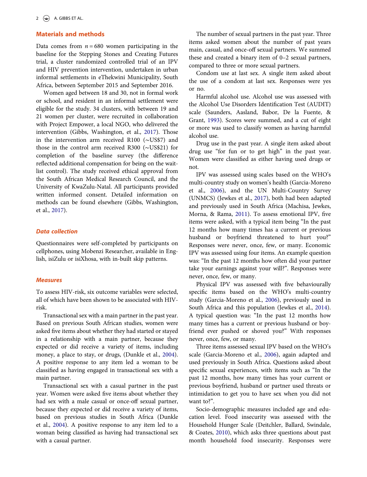## <span id="page-2-0"></span>Materials and methods

Data comes from  $n = 680$  women participating in the baseline for the Stepping Stones and Creating Futures trial, a cluster randomized controlled trial of an IPV and HIV prevention intervention, undertaken in urban informal settlements in eThekwini Municipality, South Africa, between September 2015 and September 2016.

Women aged between 18 and 30, not in formal work or school, and resident in an informal settlement were eligible for the study. 34 clusters, with between 19 and 21 women per cluster, were recruited in collaboration with Project Empower, a local NGO, who delivered the intervention (Gibbs, Washington, et al., [2017](#page-7-0)). Those in the intervention arm received R100 (∼US\$7) and those in the control arm received R300 (∼US\$21) for completion of the baseline survey (the difference reflected additional compensation for being on the waitlist control). The study received ethical approval from the South African Medical Research Council, and the University of KwaZulu-Natal. All participants provided written informed consent. Detailed information on methods can be found elsewhere (Gibbs, Washington, et al., [2017\)](#page-7-0).

## Data collection

Questionnaires were self-completed by participants on cellphones, using Mobenzi Researcher, available in English, isiZulu or isiXhosa, with in-built skip patterns.

## **Measures**

To assess HIV-risk, six outcome variables were selected, all of which have been shown to be associated with HIVrisk.

Transactional sex with a main partner in the past year. Based on previous South African studies, women were asked five items about whether they had started or stayed in a relationship with a main partner, because they expected or did receive a variety of items, including money, a place to stay, or drugs, (Dunkle et al., [2004\)](#page-6-0). A positive response to any item led a woman to be classified as having engaged in transactional sex with a main partner.

Transactional sex with a casual partner in the past year. Women were asked five items about whether they had sex with a male casual or once-off sexual partner, because they expected or did receive a variety of items, based on previous studies in South Africa (Dunkle et al., [2004\)](#page-6-0). A positive response to any item led to a woman being classified as having had transactional sex with a casual partner.

The number of sexual partners in the past year. Three items asked women about the number of past years main, casual, and once-off sexual partners. We summed these and created a binary item of 0–2 sexual partners, compared to three or more sexual partners.

Condom use at last sex. A single item asked about the use of a condom at last sex. Responses were yes or no.

Harmful alcohol use. Alcohol use was assessed with the Alcohol Use Disorders Identification Test (AUDIT) scale (Saunders, Aasland, Babor, De la Fuente, & Grant, [1993\)](#page-7-0). Scores were summed, and a cut of eight or more was used to classify women as having harmful alcohol use.

Drug use in the past year. A single item asked about drug use "for fun or to get high" in the past year. Women were classified as either having used drugs or not.

IPV was assessed using scales based on the WHO's multi-country study on women's health (Garcia-Moreno et al., [2006](#page-7-0)), and the UN Multi-Country Survey (UNMCS) (Jewkes et al., [2017](#page-7-0)), both had been adapted and previously used in South Africa (Machisa, Jewkes, Morna, & Rama, [2011](#page-7-0)). To assess emotional IPV, five items were asked, with a typical item being "In the past 12 months how many times has a current or previous husband or boyfriend threatened to hurt you?" Responses were never, once, few, or many. Economic IPV was assessed using four items. An example question was: "In the past 12 months how often did your partner take your earnings against your will?". Responses were never, once, few, or many.

Physical IPV was assessed with five behaviourally specific items based on the WHO's multi-country study (Garcia-Moreno et al., [2006\)](#page-7-0), previously used in South Africa and this population (Jewkes et al., [2014\)](#page-7-0). A typical question was: "In the past 12 months how many times has a current or previous husband or boyfriend ever pushed or shoved you?" With responses never, once, few, or many.

Three items assessed sexual IPV based on the WHO's scale (Garcia-Moreno et al., [2006\)](#page-7-0), again adapted and used previously in South Africa. Questions asked about specific sexual experiences, with items such as "In the past 12 months, how many times has your current or previous boyfriend, husband or partner used threats or intimidation to get you to have sex when you did not want to?".

Socio-demographic measures included age and education level. Food insecurity was assessed with the Household Hunger Scale (Deitchler, Ballard, Swindale, & Coates, [2010](#page-6-0)), which asks three questions about past month household food insecurity. Responses were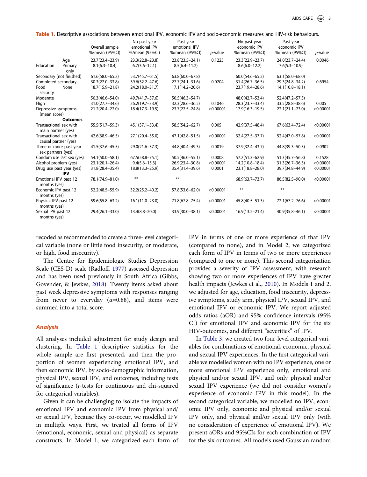<span id="page-3-0"></span>

| Table 1. Descriptive associations between emotional IPV, economic IPV and socio-economic measures and HIV-risk behaviours. |  |  |  |
|----------------------------------------------------------------------------------------------------------------------------|--|--|--|
|----------------------------------------------------------------------------------------------------------------------------|--|--|--|

|                                              |                                        | Overall sample<br>%/mean (95%Cl)         | No past year<br>emotional IPV<br>%/mean (95%Cl) | Past year<br>emotional IPV<br>%/mean (95%Cl) | <i>p</i> -value | No past year<br>economic IPV<br>%/mean (95%Cl) | Past year<br>economic IPV<br>%/mean (95%Cl) | <i>p</i> -value |
|----------------------------------------------|----------------------------------------|------------------------------------------|-------------------------------------------------|----------------------------------------------|-----------------|------------------------------------------------|---------------------------------------------|-----------------|
|                                              |                                        |                                          |                                                 |                                              | 0.1225          |                                                |                                             | 0.0046          |
| Education                                    | Age<br>Primary<br>only                 | $23.7(23.4 - 23.9)$<br>$8.1(6.3 - 10.4)$ | 23.3(22.8-23.8)<br>$6.7(3.6 - 12.1)$            | $23.8(23.5 - 24.1)$<br>$8.5(6.4 - 11.2)$     |                 | 23.3(22.9–23.7)<br>$8.6(6.0 - 12.2)$           | 24.0(23.7-24.4)<br>$7.6(5.3 - 10.9)$        |                 |
|                                              | Secondary (not finished)               | $61.6(58.0 - 65.2)$                      | $53.7(45.7 - 61.5)$                             | 63.8(60.0-67.8)                              |                 | $60.0(54.6 - 65.2)$                            | $63.1(58.0 - 68.0)$                         |                 |
| Completed secondary                          |                                        | 30.3(27.0-33.8)                          | 39.6(32.2-47.6)                                 | $27.7(24.1 - 31.6)$                          | 0.0204          | $31.4(26.7 - 36.5)$                            | 29.3(24.8-34.2)                             | 0.6954          |
| Food<br>security                             | None                                   | 18.7(15.9-21.8)                          | 24.2(18.0-31.7)                                 | $17.1(14.2 - 20.6)$                          |                 | 23.7(19.4-28.6)                                | $14.1(10.8 - 18.1)$                         |                 |
| Moderate                                     |                                        | $50.3(46.6 - 54.0)$                      | 49.7(41.7-57.6)                                 | $50.5(46.3 - 54.7)$                          |                 | $48.0(42.7 - 53.4)$                            | $52.4(47.2 - 57.5)$                         |                 |
| High                                         |                                        | 31.0(27.7-34.6)                          | 26.2(19.7-33.9)                                 | $32.3(28.6 - 36.5)$                          | 0.1046          | $28.3(23.7 - 33.4)$                            | 33.5(28.8-38.6)                             | 0.005           |
| Depressive symptoms<br>(mean score)          |                                        | 21.2(20.4-22.0)                          | $18.4(17.3 - 19.5)$                             | 23.7(22.5-24.8)                              | < 0.00001       | $17.9(16.3 - 19.5)$                            | $22.1(21.1 - 23.0)$                         | < 0.00001       |
|                                              | <b>Outcomes</b>                        |                                          |                                                 |                                              |                 |                                                |                                             |                 |
| Transactional sex with<br>main partner (yes) |                                        | $55.5(51.7 - 59.3)$                      | $45.1(37.1 - 53.4)$                             | 58.5(54.2-62.7)                              | 0.005           | 42.9(37.5-48.4)                                | $67.6(63.4 - 72.4)$                         | < 0.00001       |
| Transactional sex with                       | causal partner (yes)                   | 42.6(38.9-46.5)                          | 27.1(20.4-35.0)                                 | 47.1(42.8-51.5)                              | < 0.00001       | $32.4(27.5 - 37.7)$                            | 52.4(47.0-57.8)                             | < 0.00001       |
| sex partners (yes)                           | Three or more past year                | $41.5(37.6 - 45.5)$                      | $29.0(21.6 - 37.3)$                             | 44.8(40.4-49.3)                              | 0.0019          | 37.9(32.4–43.7)                                | 44.8(39.3–50.3)                             | 0.0902          |
|                                              | Condom use last sex (yes)              | 54.1(50.0-58.1)                          | $67.5(58.8 - 75.1)$                             | $50.5(46.0 - 55.1)$                          | 0.0008          | $57.2(51.3 - 62.9)$                            | $51.3(45.7 - 56.8)$                         | 0.1528          |
| Alcohol problem (yes)                        |                                        | $23.1(20.1 - 26.4)$                      | $9.4(5.6 - 15.3)$                               | 26.9(23.4-30.8)                              | < 0.00001       | $14.2(10.8 - 18.4)$                            | $31.3(26.7 - 36.3)$                         | < 0.00001       |
|                                              | Drug use past year (yes)<br><b>IPV</b> | 31.8(28.4-35.4)                          | $18.8(13.3 - 25.9)$                             | 35.4(31.4-39.6)                              | 0.0001          | 23.1(18.8-28.0)                                | 39.7(34.8-44.9)                             | < 0.00001       |
| Emotional IPV past 12<br>months (yes)        |                                        | 78.1(74.9-81.0)                          | $***$                                           | **                                           |                 | 68.9(63.7–73.7)                                | 86.5(82.5-90.0)                             | < 0.00001       |
| Economic IPV past 12<br>months (yes)         |                                        | $52.2(48.5 - 55.9)$                      | $32.2(25.2 - 40.2)$                             | 57.8(53.6-62.0)                              | < 0.00001       | $***$                                          | $**$                                        |                 |
| Physical IPV past 12<br>months (yes)         |                                        | 59.6(55.8-63.2)                          | $16.1(11.0 - 23.0)$                             | 71.8(67.8-75.4)                              | < 0.00001       | 45.8(40.5-51.3)                                | 72.1(67.2–76.6)                             | < 0.00001       |
| Sexual IPV past 12<br>months (yes)           |                                        | $29.4(26.1 - 33.0)$                      | $13.4(8.8 - 20.0)$                              | 33.9(30.0-38.1)                              | < 0.00001       | $16.9(13.2 - 21.4)$                            | $40.9(35.8 - 46.1)$                         | < 0.00001       |

recoded as recommended to create a three-level categorical variable (none or little food insecurity, or moderate, or high, food insecurity).

The Centre for Epidemiologic Studies Depression Scale (CES-D) scale (Radloff, [1977\)](#page-7-0) assessed depression and has been used previously in South Africa (Gibbs, Govender, & Jewkes, [2018](#page-7-0)). Twenty items asked about past week depressive symptoms with responses ranging from never to everyday ( $\alpha$ =0.88), and items were summed into a total score.

## Analysis

All analyses included adjustment for study design and clustering. In Table 1 descriptive statistics for the whole sample are first presented, and then the proportion of women experiencing emotional IPV, and then economic IPV, by socio-demographic information, physical IPV, sexual IPV, and outcomes, including tests of significance (t-tests for continuous and chi-squared for categorical variables).

Given it can be challenging to isolate the impacts of emotional IPV and economic IPV from physical and/ or sexual IPV, because they co-occur, we modelled IPV in multiple ways. First, we treated all forms of IPV (emotional, economic, sexual and physical) as separate constructs. In Model 1, we categorized each form of IPV in terms of one or more experience of that IPV (compared to none), and in Model 2, we categorized each form of IPV in terms of two or more experiences (compared to one or none). This second categorization provides a severity of IPV assessment, with research showing two or more experiences of IPV have greater health impacts (Jewkes et al., [2010](#page-7-0)). In Models 1 and 2, we adjusted for age, education, food insecurity, depressive symptoms, study arm, physical IPV, sexual IPV, and emotional IPV or economic IPV. We report adjusted odds ratios (aOR) and 95% confidence intervals (95% CI) for emotional IPV and economic IPV for the six HIV-outcomes, and different "severities" of IPV.

In [Table 3,](#page-5-0) we created two four-level categorical variables for combinations of emotional, economic, physical and sexual IPV experiences. In the first categorical variable we modelled women with no IPV experience, one or more emotional IPV experience only, emotional and physical and/or sexual IPV, and only physical and/or sexual IPV experience (we did not consider women's experience of economic IPV in this model). In the second categorical variable, we modelled no IPV, economic IPV only, economic and physical and/or sexual IPV only, and physical and/or sexual IPV only (with no consideration of experience of emotional IPV). We present aORs and 95%CIs for each combination of IPV for the six outcomes. All models used Gaussian random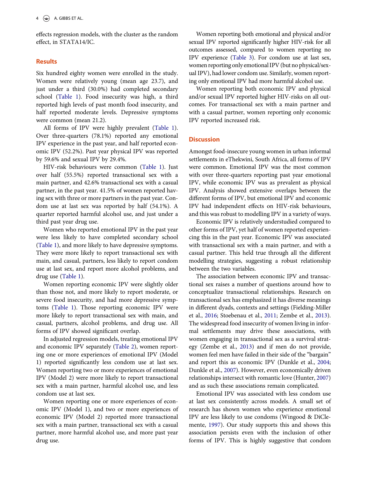<span id="page-4-0"></span>effects regression models, with the cluster as the random effect, in STATA14/IC.

## Results

Six hundred eighty women were enrolled in the study. Women were relatively young (mean age 23.7), and just under a third (30.0%) had completed secondary school [\(Table 1](#page-3-0)). Food insecurity was high, a third reported high levels of past month food insecurity, and half reported moderate levels. Depressive symptoms were common (mean 21.2).

All forms of IPV were highly prevalent ([Table 1\)](#page-3-0). Over three-quarters (78.1%) reported any emotional IPV experience in the past year, and half reported economic IPV (52.2%). Past year physical IPV was reported by 59.6% and sexual IPV by 29.4%.

HIV-risk behaviours were common ([Table 1](#page-3-0)). Just over half (55.5%) reported transactional sex with a main partner, and 42.6% transactional sex with a casual partner, in the past year. 41.5% of women reported having sex with three or more partners in the past year. Condom use at last sex was reported by half (54.1%). A quarter reported harmful alcohol use, and just under a third past year drug use.

Women who reported emotional IPV in the past year were less likely to have completed secondary school ([Table 1\)](#page-3-0), and more likely to have depressive symptoms. They were more likely to report transactional sex with main, and casual, partners, less likely to report condom use at last sex, and report more alcohol problems, and drug use [\(Table 1](#page-3-0)).

Women reporting economic IPV were slightly older than those not, and more likely to report moderate, or severe food insecurity, and had more depressive symptoms [\(Table 1\)](#page-3-0). Those reporting economic IPV were more likely to report transactional sex with main, and casual, partners, alcohol problems, and drug use. All forms of IPV showed significant overlap.

In adjusted regression models, treating emotional IPV and economic IPV separately [\(Table 2\)](#page-5-0), women reporting one or more experiences of emotional IPV (Model 1) reported significantly less condom use at last sex. Women reporting two or more experiences of emotional IPV (Model 2) were more likely to report transactional sex with a main partner, harmful alcohol use, and less condom use at last sex.

Women reporting one or more experiences of economic IPV (Model 1), and two or more experiences of economic IPV (Model 2) reported more transactional sex with a main partner, transactional sex with a casual partner, more harmful alcohol use, and more past year drug use.

Women reporting both emotional and physical and/or sexual IPV reported significantly higher HIV-risk for all outcomes assessed, compared to women reporting no IPV experience [\(Table 3](#page-5-0)). For condom use at last sex, women reporting only emotional IPV (but no physical/sexual IPV), had lower condom use. Similarly, women reporting only emotional IPV had more harmful alcohol use.

Women reporting both economic IPV and physical and/or sexual IPV reported higher HIV-risks on all outcomes. For transactional sex with a main partner and with a casual partner, women reporting only economic IPV reported increased risk.

## **Discussion**

Amongst food-insecure young women in urban informal settlements in eThekwini, South Africa, all forms of IPV were common. Emotional IPV was the most common with over three-quarters reporting past year emotional IPV, while economic IPV was as prevalent as physical IPV. Analysis showed extensive overlaps between the different forms of IPV, but emotional IPV and economic IPV had independent effects on HIV-risk behaviours, and this was robust to modelling IPV in a variety of ways.

Economic IPV is relatively understudied compared to other forms of IPV, yet half of women reported experiencing this in the past year. Economic IPV was associated with transactional sex with a main partner, and with a casual partner. This held true through all the different modelling strategies, suggesting a robust relationship between the two variables.

The association between economic IPV and transactional sex raises a number of questions around how to conceptualize transactional relationships. Research on transactional sex has emphasized it has diverse meanings in different dyads, contexts and settings (Fielding-Miller et al., [2016](#page-7-0); Stoebenau et al., [2011](#page-7-0); Zembe et al., [2013\)](#page-8-0). The widespread food insecurity of women living in informal settlements may drive these associations, with women engaging in transactional sex as a survival strategy (Zembe et al., [2013](#page-8-0)) and if men do not provide, women feel men have failed in their side of the "bargain" and report this as economic IPV (Dunkle et al., [2004](#page-6-0); Dunkle et al., [2007\)](#page-7-0). However, even economically driven relationships intersect with romantic love (Hunter, [2007\)](#page-7-0) and as such these associations remain complicated.

Emotional IPV was associated with less condom use at last sex consistently across models. A small set of research has shown women who experience emotional IPV are less likely to use condoms (Wingood & DiClemente, [1997](#page-8-0)). Our study supports this and shows this association persists even with the inclusion of other forms of IPV. This is highly suggestive that condom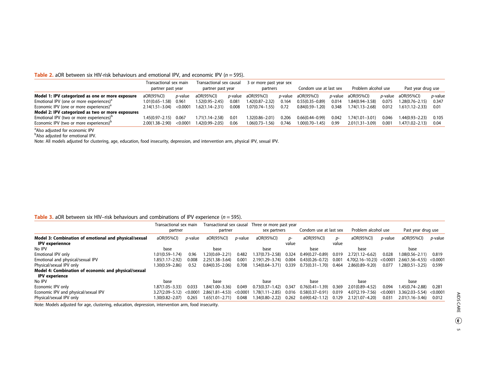#### <span id="page-5-0"></span>**Table 2.** aOR between six HIV-risk behaviours and emotional IPV, and economic IPV ( $n = 595$ ).

|                                                      | Transactional sex main<br>partner past year |                 | Transactional sex causal<br>partner past year |                 | 3 or more past year sex<br>partners |                 | Condom use at last sex |       | Problem alcohol use |                 | Past year drug use  |                 |
|------------------------------------------------------|---------------------------------------------|-----------------|-----------------------------------------------|-----------------|-------------------------------------|-----------------|------------------------|-------|---------------------|-----------------|---------------------|-----------------|
| Model 1: IPV categorized as one or more exposure     | aOR(95%Cl)                                  | <i>p</i> -value | aOR(95%Cl)                                    | <i>p</i> -value | aOR(95%Cl)                          | <i>p</i> -value | aOR(95%CI)             |       | p-value aOR(95%CI)  | <i>p</i> -value | aOR(95%Cl)          | <i>p</i> -value |
| Emotional IPV (one or more experiences) <sup>a</sup> | $1.01(0.65 - 1.58)$                         | 0.961           | 1.52(0.95–2.45)                               | 0.081           | $1.42(0.87 - 2.32)$                 | 0.164           | $0.55(0.35 - 0.89)$    | 0.014 | $1.84(0.94 - 3.58)$ | 0.075           | 1.28(0.76-2.15)     | 0.347           |
| Economic IPV (one or more experiences) <sup>a</sup>  | $2.14(1.51 - 3.04)$                         | < 0.0001        | $1.62(1.14 - 2.31)$                           | 0.008           | $1.07(0.74 - 1.55)$                 | 0.72            | $0.84(0.59 - 1.20)$    | 0.348 | $1.74(1.13 - 2.68)$ | 0.012           | $1.61(1.12 - 2.33)$ | 0.01            |
| Model 2: IPV categorized as two or more exposures    |                                             |                 |                                               |                 |                                     |                 |                        |       |                     |                 |                     |                 |
| Emotional IPV (two or more experiences) <sup>p</sup> | 1.45(0.97–2.15)                             | 0.067           | $1.71(1.14 - 2.58)$                           | 0.01            | 1.32(0.86-2.01)                     | 0.206           | $0.66(0.44 - 0.99)$    | 0.042 | $1.74(1.01 - 3.01)$ | 0.046           | 1.44(0.93-2.23)     | 0.105           |
| Economic IPV (two or more experiences) <sup>D</sup>  | $2.00(1.38 - 2.90)$                         | < 0.0001        | 1.42(0.99–2.05)                               | 0.06            | $1.06(0.73 - 1.56)$                 | 0.746           | $1.00(0.70 - 1.45)$    | 0.99  | $2.01(1.31 - 3.09)$ | 0.001           | $1.47(1.02 - 2.13)$ | 0.04            |

aAlso adjusted for economic IPV

bAlso adjusted for emotional IPV.

Note: All models adjusted for clustering, age, education, food insecurity, depression, and intervention arm, physical IPV, sexual IPV.

### **Table 3.** aOR between six HIV–risk behaviours and combinations of IPV experience (n = 595).

|                                                                                 | Transactional sex causal<br>Transactional sex main<br>partner<br>partner |                 |                     | Three or more past year<br>sex partners |                     | Condom use at last sex |                     | Problem alcohol use |                      | Past year drug use |                     |                 |
|---------------------------------------------------------------------------------|--------------------------------------------------------------------------|-----------------|---------------------|-----------------------------------------|---------------------|------------------------|---------------------|---------------------|----------------------|--------------------|---------------------|-----------------|
| Model 3: Combination of emotional and physical/sexual<br><b>IPV</b> experiennce | aOR(95%CI)                                                               | <i>p</i> -value | aOR(95%CI)          | <i>p</i> -value                         | aOR(95%Cl)          | D-<br>value            | aOR(95%Cl)          | D-<br>value         | aOR(95%CI)           | <i>p</i> -value    | aOR(95%CI)          | <i>p</i> -value |
| No IPV                                                                          | base                                                                     |                 | base                |                                         | base                |                        | base                |                     | base                 |                    | base                |                 |
| Emotional IPV only                                                              | $1.01(0.59 - 1.74)$                                                      | 0.96            | 1.23(0.69-2.21)     | 0.482                                   | 1.37(0.73-2.58)     | 0.324                  | $0.49(0.27 - 0.89)$ | 0.019               | $2.72(1.12 - 6.62)$  | 0.028              | $.08(0.56 - 2.11)$  | 0.819           |
| Emotional and physical/sexual IPV                                               | 1.85(1.17–2.92)                                                          | 0.008           | $2.25(1.38 - 3.64)$ | 0.001                                   | $2.19(1.29 - 3.74)$ | 0.004                  | $0.43(0.26 - 0.72)$ | 0.001               | $4.70(2.16 - 10.23)$ | < 0.000            | 2.66(1.56–4.55)     | < 0.0001        |
| Physical/sexual IPV only                                                        | 1.30(0.59-2.86)                                                          | 0.52            | $0.84(0.35 - 2.06)$ | 0.708                                   | 1.54(0.64-3.71)     | 0.339                  | $0.73(0.31 - 1.70)$ | 0.464               | $2.86(0.89 - 9.20)$  | 0.077              | $.28(0.51 - 3.25)$  | 0.599           |
| Model 4: Combination of economic and physical/sexual                            |                                                                          |                 |                     |                                         |                     |                        |                     |                     |                      |                    |                     |                 |
| <b>IPV</b> experience                                                           |                                                                          |                 |                     |                                         |                     |                        |                     |                     |                      |                    |                     |                 |
| No IPV                                                                          | base                                                                     |                 | base                |                                         | base                |                        | base                |                     | base                 |                    | base                |                 |
| Economic IPV only                                                               | $1.87(1.05 - 3.33)$                                                      | 0.033           | 1.84(1.00-3.36)     | 0.049                                   | $0.73(0.37 - 1.42)$ | 0.347                  | $0.76(0.41 - 1.39)$ | 0.369               | $2.01(0.89 - 4.52)$  | 0.094              | 1.45(0.74–2.88)     | 0.281           |
| Economic IPV and physical/sexual IPV                                            | $3.27(2.09 - 5.12)$                                                      | < 0.0001        | $2.86(1.81 - 4.53)$ | < 0.0001                                | $1.78(1.11 - 2.85)$ | 0.016                  | $0.58(0.37 - 0.91)$ | 0.019               | $4.07(2.19 - 7.56)$  | < 0.000            | $3.36(2.03 - 5.54)$ | < 0.0001        |
| Physical/sexual IPV only                                                        | 1.30(0.82-2.07)                                                          | 0.265           | 1.65(1.01–2.71)     | 0.048                                   | 1.34(0.80–2.22)     | 0.262                  | $0.69(0.42 - 1.12)$ | 0.129               | $2.12(1.07 - 4.20)$  | 0.031              | $2.01(1.16 - 3.46)$ | 0.012           |

Note: Models adjusted for age, clustering, education, depression, intervention arm, food insecurity.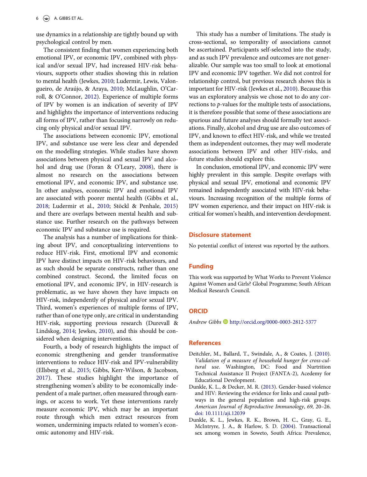<span id="page-6-0"></span>use dynamics in a relationship are tightly bound up with psychological control by men.

The consistent finding that women experiencing both emotional IPV, or economic IPV, combined with physical and/or sexual IPV, had increased HIV-risk behaviours, supports other studies showing this in relation to mental health (Jewkes, [2010](#page-7-0); Ludermir, Lewis, Valongueiro, de Araújo, & Araya, [2010;](#page-7-0) McLaughlin, O'Carroll, & O'Connor, [2012\)](#page-7-0). Experience of multiple forms of IPV by women is an indication of severity of IPV and highlights the importance of interventions reducing all forms of IPV, rather than focusing narrowly on reducing only physical and/or sexual IPV.

The associations between economic IPV, emotional IPV, and substance use were less clear and depended on the modelling strategies. While studies have shown associations between physical and sexual IPV and alcohol and drug use (Foran & O'Leary, [2008](#page-7-0)), there is almost no research on the associations between emotional IPV, and economic IPV, and substance use. In other analyses, economic IPV and emotional IPV are associated with poorer mental health (Gibbs et al., [2018](#page-7-0); Ludermir et al., [2010;](#page-7-0) Stöckl & Penhale, [2015](#page-7-0)) and there are overlaps between mental health and substance use. Further research on the pathways between economic IPV and substance use is required.

The analysis has a number of implications for thinking about IPV, and conceptualizing interventions to reduce HIV-risk. First, emotional IPV and economic IPV have distinct impacts on HIV-risk behaviours, and as such should be separate constructs, rather than one combined construct. Second, the limited focus on emotional IPV, and economic IPV, in HIV-research is problematic, as we have shown they have impacts on HIV-risk, independently of physical and/or sexual IPV. Third, women's experiences of multiple forms of IPV, rather than of one type only, are critical in understanding HIV-risk, supporting previous research (Durevall & Lindskog, [2014](#page-7-0); Jewkes, [2010](#page-7-0)), and this should be considered when designing interventions.

Fourth, a body of research highlights the impact of economic strengthening and gender transformative interventions to reduce HIV-risk and IPV-vulnerability (Ellsberg et al., [2015](#page-7-0); Gibbs, Kerr-Wilson, & Jacobson, [2017](#page-7-0)). These studies highlight the importance of strengthening women's ability to be economically independent of a male partner, often measured through earnings, or access to work. Yet these interventions rarely measure economic IPV, which may be an important route through which men extract resources from women, undermining impacts related to women's economic autonomy and HIV-risk.

This study has a number of limitations. The study is cross-sectional, so temporality of associations cannot be ascertained. Participants self-selected into the study, and as such IPV prevalence and outcomes are not generalizable. Our sample was too small to look at emotional IPV and economic IPV together. We did not control for relationship control, but previous research shows this is important for HIV-risk (Jewkes et al., [2010\)](#page-7-0). Because this was an exploratory analysis we chose not to do any corrections to p-values for the multiple tests of associations, it is therefore possible that some of these associations are spurious and future analyses should formally test associations. Finally, alcohol and drug use are also outcomes of IPV, and known to effect HIV-risk, and while we treated them as independent outcomes, they may well moderate associations between IPV and other HIV-risks, and future studies should explore this.

In conclusion, emotional IPV, and economic IPV were highly prevalent in this sample. Despite overlaps with physical and sexual IPV, emotional and economic IPV remained independently associated with HIV-risk behaviours. Increasing recognition of the multiple forms of IPV women experience, and their impact on HIV-risk is critical for women's health, and intervention development.

## Disclosure statement

No potential conflict of interest was reported by the authors.

## Funding

This work was supported by What Works to Prevent Violence Against Women and Girls? Global Programme; South African Medical Research Council.

## **ORCID**

Andrew Gibbs <http://orcid.org/0000-0003-2812-5377>

### References

- Deitchler, M., Ballard, T., Swindale, A., & Coates, J. ([2010](#page-2-0)). Validation of a measure of household hunger for cross-cultural use. Washington, DC: Food and Nurtrition Technical Assistance II Project (FANTA-2), Acedemy for Educational Development.
- Dunkle, K. L., & Decker, M. R. ([2013](#page-1-0)). Gender-based violence and HIV: Reviewing the evidence for links and causal pathways in the general population and high-risk groups. American Journal of Reproductive Immunology, 69, 20–26. [doi: 10.1111/aji.12039](https://doi.org/10.1111/aji.12039)
- Dunkle, K. L., Jewkes, R. K., Brown, H. C., Gray, G. E., McIntryre, J. A., & Harlow, S. D. [\(2004](#page-2-0)). Transactional sex among women in Soweto, South Africa: Prevalence,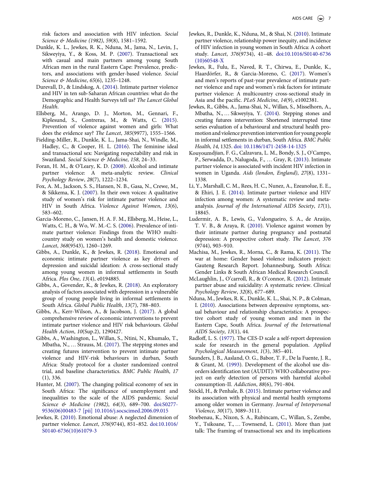<span id="page-7-0"></span>risk factors and association with HIV infection. Social Science & Medicine (1982), 59(8), 1581–1592.

- Dunkle, K. L., Jewkes, R. K., Nduna, M., Jama, N., Levin, J., Sikweyiya, Y., & Koss, M. P. [\(2007](#page-4-0)). Transactional sex with casual and main partners among young South African men in the rural Eastern Cape: Prevalence, predictors, and associations with gender-based violence. Social Science & Medicine, 65(6), 1235–1248.
- Durevall, D., & Lindskog, A. [\(2014\)](#page-1-0). Intimate partner violence and HIV in ten sub-Saharan African countries: what do the Demographic and Health Surveys tell us? The Lancet Global Health.
- Ellsberg, M., Arango, D. J., Morton, M., Gennari, F., Kiplesund, S., Contreras, M., & Watts, C. [\(2015](#page-6-0)). Prevention of violence against women and girls: What does the evidence say? The Lancet, 385(9977), 1555–1566.
- Fielding-Miller, R., Dunkle, K. L., Jama-Shai, N., Windle, M., Hadley, C., & Cooper, H. L. [\(2016\)](#page-4-0). The feminine ideal and transactional sex: Navigating respectability and risk in Swaziland. Social Science & Medicine, 158, 24–33.
- Foran, H. M., & O'Leary, K. D. [\(2008\)](#page-6-0). Alcohol and intimate partner violence: A meta-analytic review. Clinical Psychology Review, 28(7), 1222–1234.
- Fox, A. M., Jackson, S. S., Hansen, N. B., Gasa, N., Crewe, M., & Sikkema, K. J. [\(2007](#page-1-0)). In their own voices: A qualitative study of women's risk for intimate partner violence and HIV in South Africa. Violence Against Women, 13(6), 583–602.
- Garcia-Moreno, C., Jansen, H. A. F. M., Ellsberg, M., Heise, L., Watts, C. H., & Wo, W. M.-C. S. [\(2006](#page-2-0)). Prevalence of intimate partner violence: Findings from the WHO multicountry study on women's health and domestic violence. Lancet, 368(9543), 1260–1269.
- Gibbs, A., Dunkle, K., & Jewkes, R. ([2018](#page-1-0)). Emotional and economic intimate partner violence as key drivers of depression and suicidal ideation: A cross-sectional study among young women in informal settlements in South Africa. Plos One, 13(4), e0194885.
- Gibbs, A., Govender, K., & Jewkes, R. ([2018](#page-3-0)). An exploratory analysis of factors associated with depression in a vulnerable group of young people living in informal settlements in South Africa. Global Public Health, 13(7), 788–803.
- Gibbs, A., Kerr-Wilson, A., & Jacobson, J. ([2017](#page-6-0)). A global comprehensive review of economic interventions to prevent intimate partner violence and HIV risk behaviours. Global Health Action, 10(Sup.2), 1290427.
- Gibbs, A., Washington, L., Willan, S., Ntini, N., Khumalo, T., Mbatha, N., … Strauss, M. [\(2017\)](#page-2-0). The stepping stones and creating futures intervention to prevent intimate partner violence and HIV-risk behaviours in durban, South Africa: Study protocol for a cluster randomized control trial, and baseline characteristics. BMC Public Health, 17 (1), 336.
- Hunter, M. [\(2007\)](#page-4-0). The changing political economy of sex in South Africa: The significance of unemployment and inequalities to the scale of the AIDS pandemic. Social Science & Medicine (1982), 64(3), 689–700. [doi:S0277-](https://doi.org/S0277-9536(06)00483-7%20[pii]%2010.1016/j.socscimed.2006.09.015) [9536\(06\)00483-7 \[pii\] 10.1016/j.socscimed.2006.09.015](https://doi.org/S0277-9536(06)00483-7%20[pii]%2010.1016/j.socscimed.2006.09.015)
- Jewkes, R. ([2010](#page-1-0)). Emotional abuse: A neglected dimension of partner violence. Lancet, 376(9744), 851–852. [doi:10.1016/](https://doi.org/10.1016/S0140-6736(10)61079-3) [S0140-6736\(10\)61079-3](https://doi.org/10.1016/S0140-6736(10)61079-3)
- Jewkes, R., Dunkle, K., Nduna, M., & Shai, N. [\(2010](#page-1-0)). Intimate partner violence, relationship power inequity, and incidence of HIV infection in young women in South Africa: A cohort study. Lancet, 376(9734), 41–48. [doi:10.1016/S0140-6736](https://doi.org/10.1016/S0140-6736(10)60548-X) [\(10\)60548-X](https://doi.org/10.1016/S0140-6736(10)60548-X)
- Jewkes, R., Fulu, E., Naved, R. T., Chirwa, E., Dunkle, K., Haardörfer, R., & Garcia-Moreno, C. [\(2017](#page-2-0)). Women's and men's reports of past-year prevalence of intimate partner violence and rape and women's risk factors for intimate partner violence: A multicountry cross-sectional study in Asia and the pacific. PLoS Medicine, 14(9), e1002381.
- Jewkes, R., Gibbs, A., Jama-Shai, N., Willan, S., Misselhorn, A., Mbatha, N., … Sikweyiya, Y. [\(2014](#page-1-0)). Stepping stones and creating futures intervention: Shortened interrupted time series evaluation of a behavioural and structural health promotion and violence prevention intervention for young people in informal settlements in durban, South Africa. BMC Public Health, 14, 1325. [doi: 10.1186/1471-2458-14-1325](https://doi.org/10.1186/1471-2458-14-1325)
- Kouyoumdjian, F. G., Calzavara, L. M., Bondy, S. J., O'Campo, P., Serwadda, D., Nalugoda, F., … Gray, R. [\(2013](#page-1-0)). Intimate partner violence is associated with incident HIV infection in women in Uganda. Aids (london, England), 27(8), 1331– 1338.
- Li, Y., Marshall, C. M., Rees, H. C., Nunez, A., Ezeanolue, E. E., & Ehiri, J. E. [\(2014](#page-1-0)). Intimate partner violence and HIV infection among women: A systematic review and metaanalysis. Journal of the International AIDS Society, 17(1), 18845.
- Ludermir, A. B., Lewis, G., Valongueiro, S. A., de Araújo, T. V. B., & Araya, R. [\(2010\)](#page-6-0). Violence against women by their intimate partner during pregnancy and postnatal depression: A prospective cohort study. The Lancet, 376 (9744), 903–910.
- Machisa, M., Jewkes, R., Morna, C., & Rama, K. ([2011\)](#page-2-0). The war at home: Gender based violence indicators project: Gauteng Research Report. Johannesburg, South Africa: Gender Links & South African Medical Research Council.
- McLaughlin, J., O'carroll, R., & O'connor, R. ([2012\)](#page-6-0). Intimate partner abuse and suicidality: A systematic review. Clinical Psychology Review, 32(8), 677–689.
- Nduna, M., Jewkes, R. K., Dunkle, K. L., Shai, N. P., & Colman, I. [\(2010\)](#page-1-0). Associations between depressive symptoms, sexual behaviour and relationship characteristics: A prospective cohort study of young women and men in the Eastern Cape, South Africa. Journal of the International AIDS Society, 13(1), 44.
- Radloff, L. S. ([1977\)](#page-3-0). The CES-D scale a self-report depression scale for research in the general population. Applied Psychological Measurement, 1(3), 385–401.
- Saunders, J. B., Aasland, O. G., Babor, T. F., De la Fuente, J. R., & Grant, M. ([1993\)](#page-2-0). Development of the alcohol use disorders identification test (AUDIT): WHO collaborative project on early detection of persons with harmful alcohol consumption-II. Addiction, 88(6), 791–804.
- Stöckl, H., & Penhale, B. [\(2015](#page-1-0)). Intimate partner violence and its association with physical and mental health symptoms among older women in Germany. Journal of Interpersonal Violence, 30(17), 3089–3111.
- Stoebenau, K., Nixon, S. A., Rubincam, C., Willan, S., Zembe, Y., Tsikoane, T., … Townsend, L. [\(2011](#page-4-0)). More than just talk: The framing of transactional sex and its implications